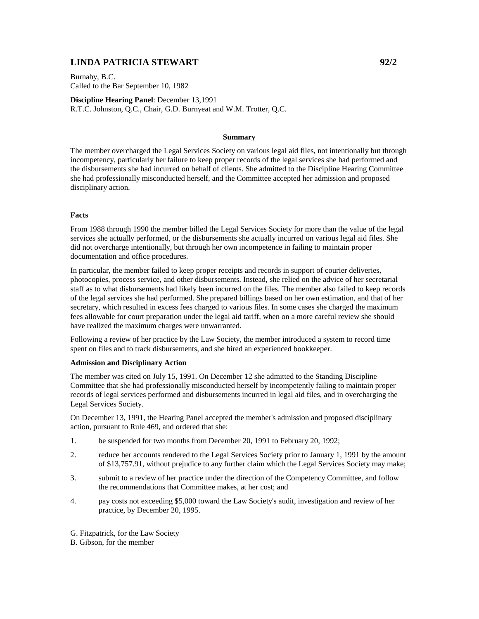## **LINDA PATRICIA STEWART 92/2**

Burnaby, B.C. Called to the Bar September 10, 1982

**Discipline Hearing Panel**: December 13,1991 R.T.C. Johnston, Q.C., Chair, G.D. Burnyeat and W.M. Trotter, Q.C.

## **Summary**

The member overcharged the Legal Services Society on various legal aid files, not intentionally but through incompetency, particularly her failure to keep proper records of the legal services she had performed and the disbursements she had incurred on behalf of clients. She admitted to the Discipline Hearing Committee she had professionally misconducted herself, and the Committee accepted her admission and proposed disciplinary action.

## **Facts**

From 1988 through 1990 the member billed the Legal Services Society for more than the value of the legal services she actually performed, or the disbursements she actually incurred on various legal aid files. She did not overcharge intentionally, but through her own incompetence in failing to maintain proper documentation and office procedures.

In particular, the member failed to keep proper receipts and records in support of courier deliveries, photocopies, process service, and other disbursements. Instead, she relied on the advice of her secretarial staff as to what disbursements had likely been incurred on the files. The member also failed to keep records of the legal services she had performed. She prepared billings based on her own estimation, and that of her secretary, which resulted in excess fees charged to various files. In some cases she charged the maximum fees allowable for court preparation under the legal aid tariff, when on a more careful review she should have realized the maximum charges were unwarranted.

Following a review of her practice by the Law Society, the member introduced a system to record time spent on files and to track disbursements, and she hired an experienced bookkeeper.

## **Admission and Disciplinary Action**

The member was cited on July 15, 1991. On December 12 she admitted to the Standing Discipline Committee that she had professionally misconducted herself by incompetently failing to maintain proper records of legal services performed and disbursements incurred in legal aid files, and in overcharging the Legal Services Society.

On December 13, 1991, the Hearing Panel accepted the member's admission and proposed disciplinary action, pursuant to Rule 469, and ordered that she:

- 1. be suspended for two months from December 20, 1991 to February 20, 1992;
- 2. reduce her accounts rendered to the Legal Services Society prior to January 1, 1991 by the amount of \$13,757.91, without prejudice to any further claim which the Legal Services Society may make;
- 3. submit to a review of her practice under the direction of the Competency Committee, and follow the recommendations that Committee makes, at her cost; and
- 4. pay costs not exceeding \$5,000 toward the Law Society's audit, investigation and review of her practice, by December 20, 1995.

G. Fitzpatrick, for the Law Society

B. Gibson, for the member